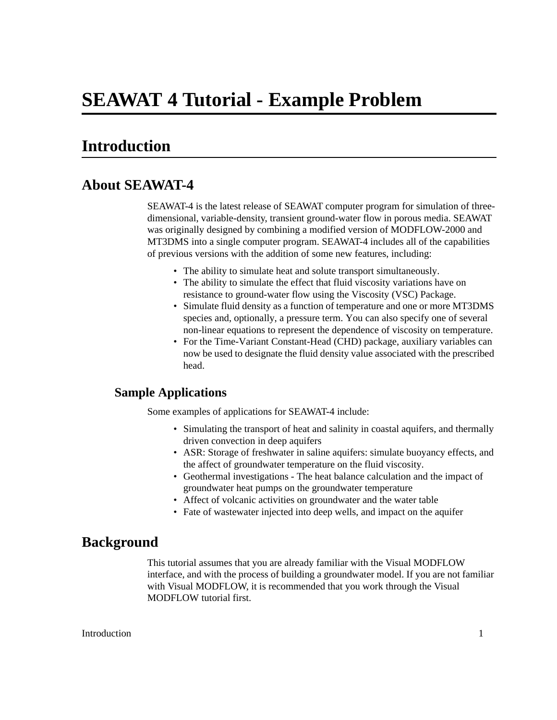# **Introduction**

### **About SEAWAT-4**

SEAWAT-4 is the latest release of SEAWAT computer program for simulation of threedimensional, variable-density, transient ground-water flow in porous media. SEAWAT was originally designed by combining a modified version of MODFLOW-2000 and MT3DMS into a single computer program. SEAWAT-4 includes all of the capabilities of previous versions with the addition of some new features, including:

- The ability to simulate heat and solute transport simultaneously.
- The ability to simulate the effect that fluid viscosity variations have on resistance to ground-water flow using the Viscosity (VSC) Package.
- Simulate fluid density as a function of temperature and one or more MT3DMS species and, optionally, a pressure term. You can also specify one of several non-linear equations to represent the dependence of viscosity on temperature.
- For the Time-Variant Constant-Head (CHD) package, auxiliary variables can now be used to designate the fluid density value associated with the prescribed head.

### **Sample Applications**

Some examples of applications for SEAWAT-4 include:

- Simulating the transport of heat and salinity in coastal aquifers, and thermally driven convection in deep aquifers
- ASR: Storage of freshwater in saline aquifers: simulate buoyancy effects, and the affect of groundwater temperature on the fluid viscosity.
- Geothermal investigations The heat balance calculation and the impact of groundwater heat pumps on the groundwater temperature
- Affect of volcanic activities on groundwater and the water table
- Fate of wastewater injected into deep wells, and impact on the aquifer

### **Background**

This tutorial assumes that you are already familiar with the Visual MODFLOW interface, and with the process of building a groundwater model. If you are not familiar with Visual MODFLOW, it is recommended that you work through the Visual MODFLOW tutorial first.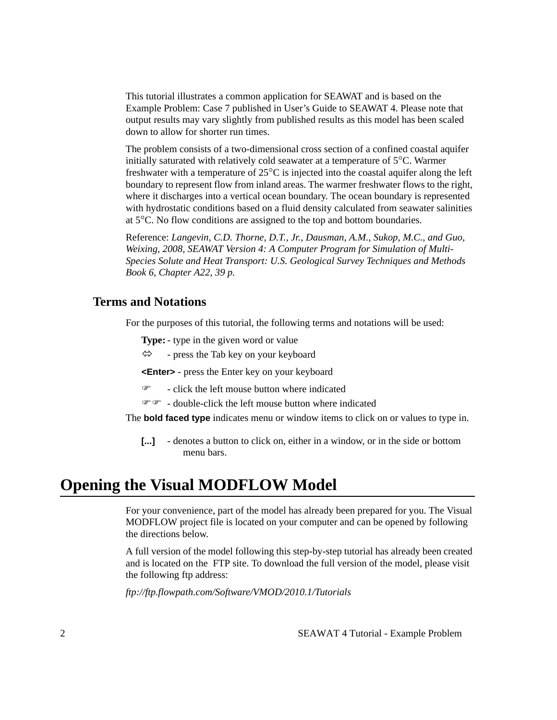This tutorial illustrates a common application for SEAWAT and is based on the Example Problem: Case 7 published in User's Guide to SEAWAT 4. Please note that output results may vary slightly from published results as this model has been scaled down to allow for shorter run times.

The problem consists of a two-dimensional cross section of a confined coastal aquifer initially saturated with relatively cold seawater at a temperature of 5°C. Warmer freshwater with a temperature of 25°C is injected into the coastal aquifer along the left boundary to represent flow from inland areas. The warmer freshwater flows to the right, where it discharges into a vertical ocean boundary. The ocean boundary is represented with hydrostatic conditions based on a fluid density calculated from seawater salinities at 5°C. No flow conditions are assigned to the top and bottom boundaries.

Reference: *Langevin, C.D. Thorne, D.T., Jr., Dausman, A.M., Sukop, M.C., and Guo, Weixing, 2008, SEAWAT Version 4: A Computer Program for Simulation of Multi-Species Solute and Heat Transport: U.S. Geological Survey Techniques and Methods Book 6, Chapter A22, 39 p.* 

### **Terms and Notations**

For the purposes of this tutorial, the following terms and notations will be used:

**Type:**- type in the given word or value

 $\Leftrightarrow$  - press the Tab key on your keyboard

**<Enter>** - press the Enter key on your keyboard

 $\mathcal{F}$  - click the left mouse button where indicated

 $\mathcal{F}$  - double-click the left mouse button where indicated

The **bold faced type** indicates menu or window items to click on or values to type in.

**[...]** - denotes a button to click on, either in a window, or in the side or bottom menu bars.

# **Opening the Visual MODFLOW Model**

For your convenience, part of the model has already been prepared for you. The Visual MODFLOW project file is located on your computer and can be opened by following the directions below.

A full version of the model following this step-by-step tutorial has already been created and is located on the FTP site. To download the full version of the model, please visit the following ftp address:

*ftp://ftp.flowpath.com/Software/VMOD/2010.1/Tutorials*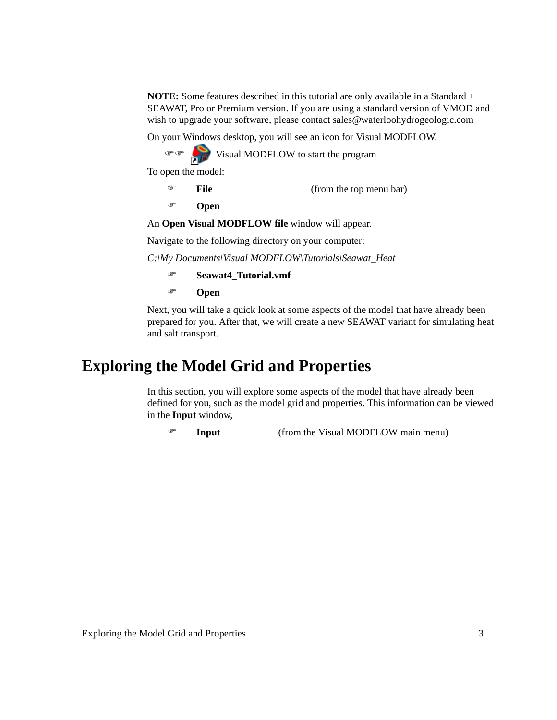**NOTE:** Some features described in this tutorial are only available in a Standard + SEAWAT, Pro or Premium version. If you are using a standard version of VMOD and wish to upgrade your software, please contact sales@waterloohydrogeologic.com

On your Windows desktop, you will see an icon for Visual MODFLOW.

)) Visual MODFLOW to start the program

To open the model:

```
) File (from the top menu bar)
```

```
) Open
```
An **Open Visual MODFLOW file** window will appear.

Navigate to the following directory on your computer:

*C:\My Documents\Visual MODFLOW\Tutorials\Seawat\_Heat* 

```
) Seawat4_Tutorial.vmf
```
) **Open** 

Next, you will take a quick look at some aspects of the model that have already been prepared for you. After that, we will create a new SEAWAT variant for simulating heat and salt transport.

# **Exploring the Model Grid and Properties**

In this section, you will explore some aspects of the model that have already been defined for you, such as the model grid and properties. This information can be viewed in the **Input** window,

) **Input** (from the Visual MODFLOW main menu)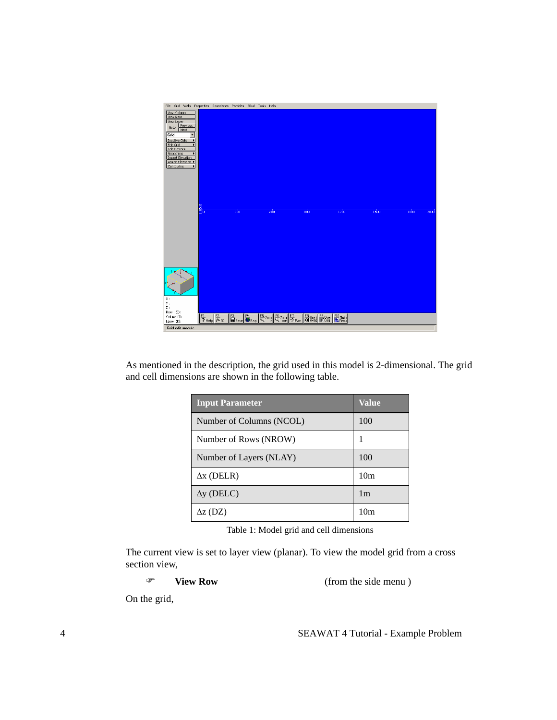

As mentioned in the description, the grid used in this model is 2-dimensional. The grid and cell dimensions are shown in the following table.

| <b>Input Parameter</b>   | Value           |
|--------------------------|-----------------|
| Number of Columns (NCOL) | 100             |
| Number of Rows (NROW)    |                 |
| Number of Layers (NLAY)  | 100             |
| $\Delta x$ (DELR)        | 10 <sub>m</sub> |
| $\Delta y$ (DELC)        | 1 <sub>m</sub>  |
| $\Delta z$ (DZ)          | 10 <sub>m</sub> |

Table 1: Model grid and cell dimensions

The current view is set to layer view (planar). To view the model grid from a cross section view,

) **View Row** (from the side menu )

On the grid,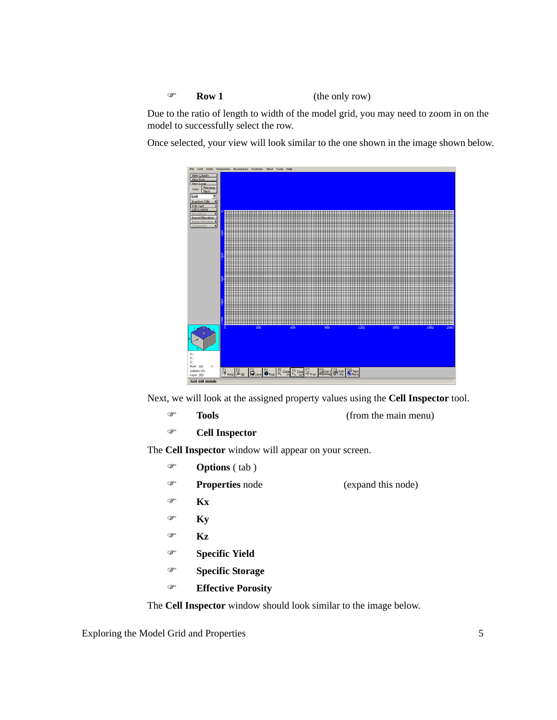) **Row 1** (the only row)

Due to the ratio of length to width of the model grid, you may need to zoom in on the model to successfully select the row.

Once selected, your view will look similar to the one shown in the image shown below.



Next, we will look at the assigned property values using the **Cell Inspector** tool.

- ) **Tools** (from the main menu)
- ) **Cell Inspector**

The **Cell Inspector** window will appear on your screen.

- ) **Options** ( tab )
- ) **Properties** node (expand this node)
- ) **Kx**
- ) **Ky**
- ) **Kz**
- ) **Specific Yield**
- ) **Specific Storage**
- ) **Effective Porosity**

The **Cell Inspector** window should look similar to the image below.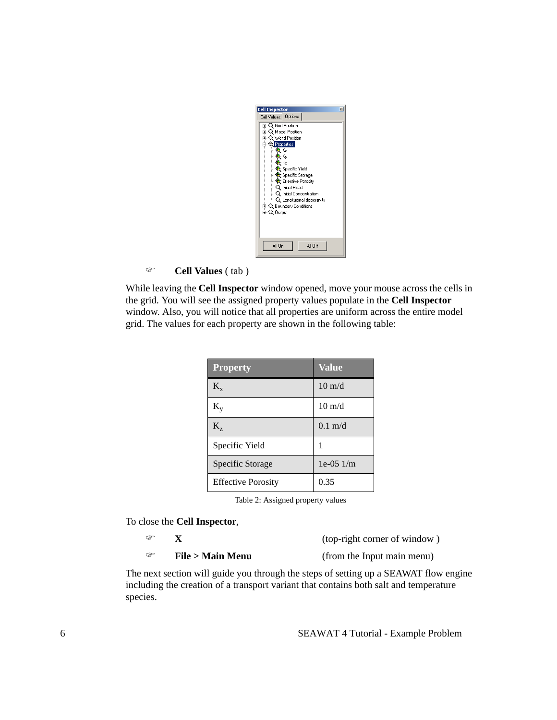) **Cell Values** ( tab )

While leaving the **Cell Inspector** window opened, move your mouse across the cells in the grid. You will see the assigned property values populate in the **Cell Inspector** window. Also, you will notice that all properties are uniform across the entire model grid. The values for each property are shown in the following table:

| <b>Property</b>           | <b>Value</b>      |
|---------------------------|-------------------|
| $K_{x}$                   | $10 \text{ m/d}$  |
| $K_{\rm v}$               | $10 \text{ m/d}$  |
| $K_{z}$                   | $0.1 \text{ m/d}$ |
| Specific Yield            | 1                 |
| Specific Storage          | $1e-051/m$        |
| <b>Effective Porosity</b> | 0.35              |

Table 2: Assigned property values

To close the **Cell Inspector**,

| ☞ |                  |
|---|------------------|
| ☞ | File > Main Menu |

(top-right corner of window)

(from the Input main menu)

The next section will guide you through the steps of setting up a SEAWAT flow engine including the creation of a transport variant that contains both salt and temperature species.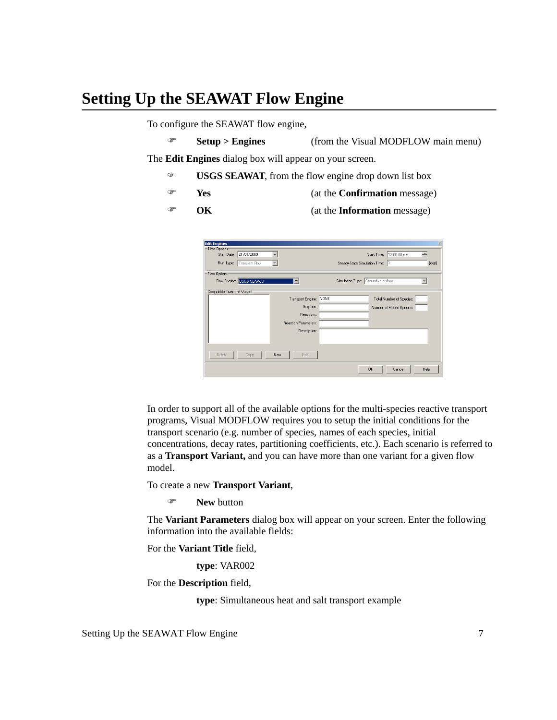# **Setting Up the SEAWAT Flow Engine**

To configure the SEAWAT flow engine,

) **Setup > Engines** (from the Visual MODFLOW main menu)

The **Edit Engines** dialog box will appear on your screen.

- ) **USGS SEAWAT**, from the flow engine drop down list box
- ) **Yes** (at the **Confirmation** message)
- ) **OK** (at the **Information** message)

| <b>Edit Engines</b><br>Time Options<br>Start Date: 21/01/2009<br>Run Type:<br>Transient Flow |                        | Steady-State Simulation Time:  1  | 12:00:00 AM<br>Start Time:<br>$\div$ | ×<br>[day] |
|----------------------------------------------------------------------------------------------|------------------------|-----------------------------------|--------------------------------------|------------|
| Flow Options                                                                                 |                        |                                   |                                      |            |
| Flow Engine: USGS SEAWAT                                                                     | ▼                      | Simulation Type: Groundwater flow |                                      |            |
| Compatible Transport Variant                                                                 |                        |                                   |                                      |            |
|                                                                                              | Transport Engine: NONE |                                   | Total Number of Species:             |            |
|                                                                                              | Sorption:              |                                   | Number of Mobile Species:            |            |
|                                                                                              | Reactions:             |                                   |                                      |            |
|                                                                                              | Reaction Parameters:   |                                   |                                      |            |
|                                                                                              | Description:           |                                   |                                      |            |
|                                                                                              |                        |                                   |                                      |            |
|                                                                                              |                        |                                   |                                      |            |
| Delete<br>Copy                                                                               | Edit<br>New.           |                                   |                                      |            |
|                                                                                              |                        |                                   | <b>OK</b><br>Cancel<br>Help          |            |

In order to support all of the available options for the multi-species reactive transport programs, Visual MODFLOW requires you to setup the initial conditions for the transport scenario (e.g. number of species, names of each species, initial concentrations, decay rates, partitioning coefficients, etc.). Each scenario is referred to as a **Transport Variant,** and you can have more than one variant for a given flow model.

To create a new **Transport Variant**,

) **New** button

The **Variant Parameters** dialog box will appear on your screen. Enter the following information into the available fields:

For the **Variant Title** field,

**type**: VAR002

For the **Description** field,

**type**: Simultaneous heat and salt transport example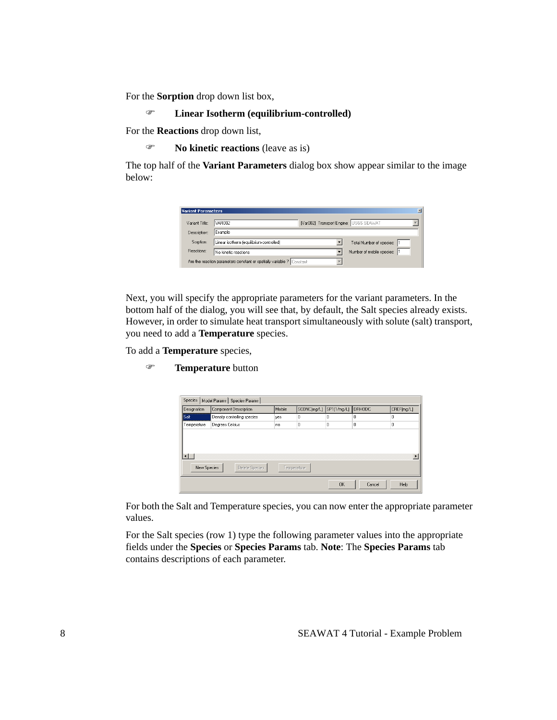For the **Sorption** drop down list box,

```
) Linear Isotherm (equilibrium-controlled)
```
For the **Reactions** drop down list,

) **No kinetic reactions** (leave as is)

The top half of the **Variant Parameters** dialog box show appear similar to the image below:

| <b>Variant Parameters</b> |                                                                       |  |                                        | × |
|---------------------------|-----------------------------------------------------------------------|--|----------------------------------------|---|
| Variant Title:            | VAR002                                                                |  | [Var002] Transport Engine: USGS SEAWAT |   |
| Description:              | Example                                                               |  |                                        |   |
| Sorption:                 | Linear isotherm [equilibrium-controlled]                              |  | Total Number of species:               |   |
| Reactions:                | No kinetic reactions                                                  |  | Number of mobile species:              |   |
|                           | Are the reaction parameters constant or spatially variable ? Constant |  |                                        |   |

Next, you will specify the appropriate parameters for the variant parameters. In the bottom half of the dialog, you will see that, by default, the Salt species already exists. However, in order to simulate heat transport simultaneously with solute (salt) transport, you need to add a **Temperature** species.

To add a **Temperature** species,

) **Temperature** button

| Designation | <b>Component Description</b> | Mobile | SCONC[mq/L] | [SP1[1/mg/L] | <b>DRHODC</b> | CREF[mg/L]            |
|-------------|------------------------------|--------|-------------|--------------|---------------|-----------------------|
| Salt        | Density controlling species  | yes    | 0           | 0            | 0             | 0                     |
| Temperature | Degrees Celsius              | no     | 0           | 0            | 0             | 0                     |
|             |                              |        |             |              |               |                       |
|             |                              |        |             |              |               |                       |
|             |                              |        |             |              |               |                       |
|             |                              |        |             |              |               | $\blacktriangleright$ |
| New Species | Delete Species               |        | Temperature |              |               |                       |

For both the Salt and Temperature species, you can now enter the appropriate parameter values.

For the Salt species (row 1) type the following parameter values into the appropriate fields under the **Species** or **Species Params** tab. **Note**: The **Species Params** tab contains descriptions of each parameter.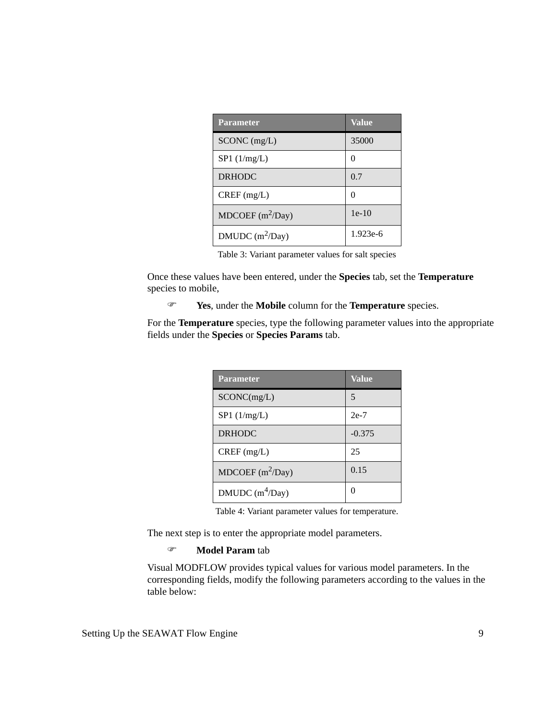| <b>Parameter</b>            | <b>Value</b>  |
|-----------------------------|---------------|
| $SCONC$ (mg/L)              | 35000         |
| SP1 (1/mg/L)                | $\mathbf{0}$  |
| <b>DRHODC</b>               | 0.7           |
| $CREF$ (mg/L)               | $\mathcal{O}$ |
| MDCOEF $(m^2/Day)$          | $1e-10$       |
| DMUDC (m <sup>2</sup> /Day) | $1.923e-6$    |

Table 3: Variant parameter values for salt species

Once these values have been entered, under the **Species** tab, set the **Temperature** species to mobile,

) **Yes**, under the **Mobile** column for the **Temperature** species.

For the **Temperature** species, type the following parameter values into the appropriate fields under the **Species** or **Species Params** tab.

| <b>Parameter</b>   | <b>Value</b> |
|--------------------|--------------|
| SCONC(mg/L)        | 5            |
| $SP1$ (1/mg/L)     | $2e-7$       |
| <b>DRHODC</b>      | $-0.375$     |
| $CREF$ (mg/L)      | 25           |
| MDCOEF $(m^2/Day)$ | 0.15         |
| DMUDC $(m^4$ Day)  | $\mathbf{0}$ |

Table 4: Variant parameter values for temperature.

The next step is to enter the appropriate model parameters.

#### ) **Model Param** tab

Visual MODFLOW provides typical values for various model parameters. In the corresponding fields, modify the following parameters according to the values in the table below: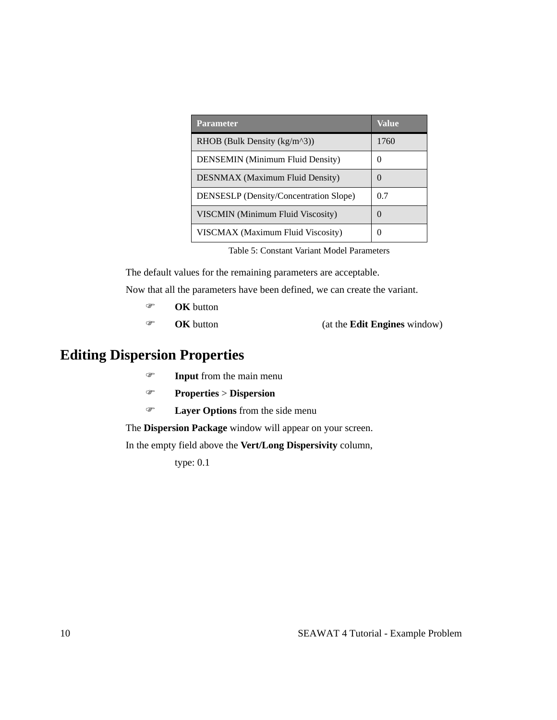| <b>Parameter</b>                              | Value            |
|-----------------------------------------------|------------------|
| RHOB (Bulk Density $(kg/m^3)$ )               | 1760             |
| <b>DENSEMIN</b> (Minimum Fluid Density)       | $\left( \right)$ |
| <b>DESNMAX</b> (Maximum Fluid Density)        | $\theta$         |
| <b>DENSESLP</b> (Density/Concentration Slope) | 0.7              |
| <b>VISCMIN</b> (Minimum Fluid Viscosity)      | $\theta$         |
| VISCMAX (Maximum Fluid Viscosity)             | $\Omega$         |

Table 5: Constant Variant Model Parameters

The default values for the remaining parameters are acceptable.

Now that all the parameters have been defined, we can create the variant.

- ) **OK** button
- ) **OK** button (at the **Edit Engines** window)

# **Editing Dispersion Properties**

- ) **Input** from the main menu
- ) **Properties** > **Dispersion**
- ) **Layer Options** from the side menu

The **Dispersion Package** window will appear on your screen.

In the empty field above the **Vert/Long Dispersivity** column,

type: 0.1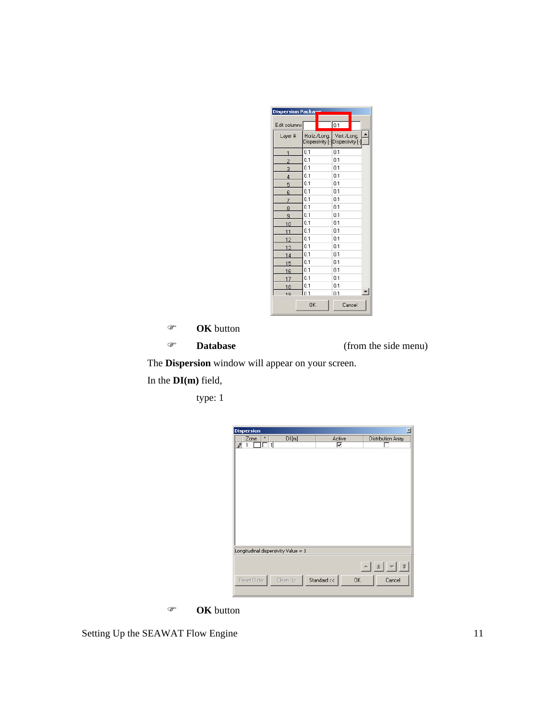| Dispersion Packar |           |                                                              |  |
|-------------------|-----------|--------------------------------------------------------------|--|
| Edit columns      |           | $\overline{0.1}$                                             |  |
| Laver #           |           | Horiz./Long. Vert./Long.<br>Dispersivity [-]Dispersivity [-] |  |
| 1                 | 0.1       | 0.1                                                          |  |
| $\overline{c}$    | 0.1       | 0.1                                                          |  |
| 3                 | 0.1       | 0.1                                                          |  |
| $\overline{4}$    | 0.1       | 0.1                                                          |  |
| 5                 | 0.1       | 0.1                                                          |  |
| 6                 | 0.1       | 01                                                           |  |
| 7                 | n 1       | 01                                                           |  |
| 8                 | 0.1       | 0.1                                                          |  |
| 9                 | 0.1       | 0.1                                                          |  |
| 10                | 0.1       | 0.1                                                          |  |
| 11                | 0.1       | 0.1                                                          |  |
| 12                | 0.1       | 0.1                                                          |  |
| 13                | 0.1       | 0.1                                                          |  |
| 14                | 0.1       | 0.1                                                          |  |
| 15                | 0.1       | 0.1                                                          |  |
| 16                | 0.1       | 0.1                                                          |  |
| 17                | 0.1       | 0.1                                                          |  |
| 18                | 0.1       | 0.1                                                          |  |
| 10                | 01        | n 1                                                          |  |
|                   | <b>OK</b> | Cancel                                                       |  |

- ) **OK** button
- 

) **Database** (from the side menu)

The **Dispersion** window will appear on your screen.

In the **DI(m)** field,

type: 1

| <b>Dispersion</b>                   |          |             | 凶                                            |
|-------------------------------------|----------|-------------|----------------------------------------------|
| $\pmb{\times}$<br>Zone              | DI[m]    | Active      | Distribution Array                           |
| ╗<br>₽<br>1                         |          | ⊽           |                                              |
|                                     |          |             |                                              |
|                                     |          |             |                                              |
|                                     |          |             |                                              |
|                                     |          |             |                                              |
|                                     |          |             |                                              |
|                                     |          |             |                                              |
|                                     |          |             |                                              |
|                                     |          |             |                                              |
|                                     |          |             |                                              |
|                                     |          |             |                                              |
|                                     |          |             |                                              |
|                                     |          |             |                                              |
|                                     |          |             |                                              |
|                                     |          |             |                                              |
| Longitudinal dispersivity Value = 1 |          |             |                                              |
|                                     |          |             |                                              |
|                                     |          |             | $\mathbf{v}$ $\mathbf{v}$<br>$\Delta$<br>I≄l |
|                                     |          |             |                                              |
| Reset Order                         | Clean Up | Standard << | 0K<br>Cancel                                 |
|                                     |          |             |                                              |

) **OK** button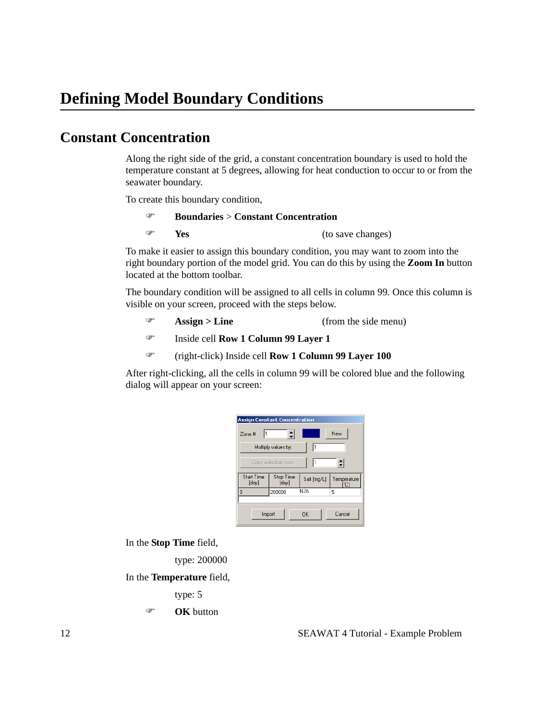## **Constant Concentration**

Along the right side of the grid, a constant concentration boundary is used to hold the temperature constant at 5 degrees, allowing for heat conduction to occur to or from the seawater boundary.

To create this boundary condition,

### ) **Boundaries** > **Constant Concentration**

) **Yes** (to save changes)

To make it easier to assign this boundary condition, you may want to zoom into the right boundary portion of the model grid. You can do this by using the **Zoom In** button located at the bottom toolbar.

The boundary condition will be assigned to all cells in column 99. Once this column is visible on your screen, proceed with the steps below.

- ) **Assign > Line** (from the side menu)
- ) Inside cell **Row 1 Column 99 Layer 1**
- ) (right-click) Inside cell **Row 1 Column 99 Layer 100**

After right-clicking, all the cells in column 99 will be colored blue and the following dialog will appear on your screen:

| <b>Assign Constant Concentration</b> |                     |             |                    |  |  |
|--------------------------------------|---------------------|-------------|--------------------|--|--|
| Zone #                               | 싂                   |             | New                |  |  |
| l1<br>Multiply values by:            |                     |             |                    |  |  |
|                                      | Copy schedule from: |             | ≑                  |  |  |
|                                      |                     |             |                    |  |  |
| <b>Start Time</b><br>[day]           | Stop Time<br>[day]  | Salt [mg/L] | Temperature<br>rci |  |  |
| $\overline{0}$                       | 200000              | N/A         | 5                  |  |  |

In the **Stop Time** field,

type: 200000

In the **Temperature** field,

type: 5

```
) OK button
```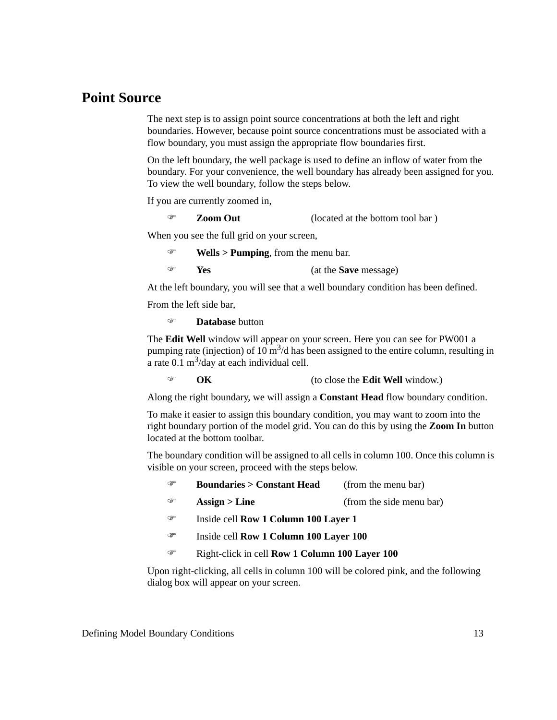### **Point Source**

The next step is to assign point source concentrations at both the left and right boundaries. However, because point source concentrations must be associated with a flow boundary, you must assign the appropriate flow boundaries first.

On the left boundary, the well package is used to define an inflow of water from the boundary. For your convenience, the well boundary has already been assigned for you. To view the well boundary, follow the steps below.

If you are currently zoomed in,

#### ) **Zoom Out** (located at the bottom tool bar )

When you see the full grid on your screen,

) **Wells > Pumping**, from the menu bar.

) **Yes** (at the **Save** message)

At the left boundary, you will see that a well boundary condition has been defined.

From the left side bar,

) **Database** button

The **Edit Well** window will appear on your screen. Here you can see for PW001 a pumping rate (injection) of 10  $\text{m}^3/\text{d}$  has been assigned to the entire column, resulting in a rate  $0.1 \text{ m}^3/\text{day}$  at each individual cell.

### ) **OK** (to close the **Edit Well** window.)

Along the right boundary, we will assign a **Constant Head** flow boundary condition.

To make it easier to assign this boundary condition, you may want to zoom into the right boundary portion of the model grid. You can do this by using the **Zoom In** button located at the bottom toolbar.

The boundary condition will be assigned to all cells in column 100. Once this column is visible on your screen, proceed with the steps below.

| Œ | <b>Boundaries &gt; Constant Head</b> | (from the menu bar)      |
|---|--------------------------------------|--------------------------|
| Œ | $\text{Assign} > \text{Line}$        | (from the side menu bar) |
|   |                                      |                          |

- ) Inside cell **Row 1 Column 100 Layer 1**
- ) Inside cell **Row 1 Column 100 Layer 100**
- ) Right-click in cell **Row 1 Column 100 Layer 100**

Upon right-clicking, all cells in column 100 will be colored pink, and the following dialog box will appear on your screen.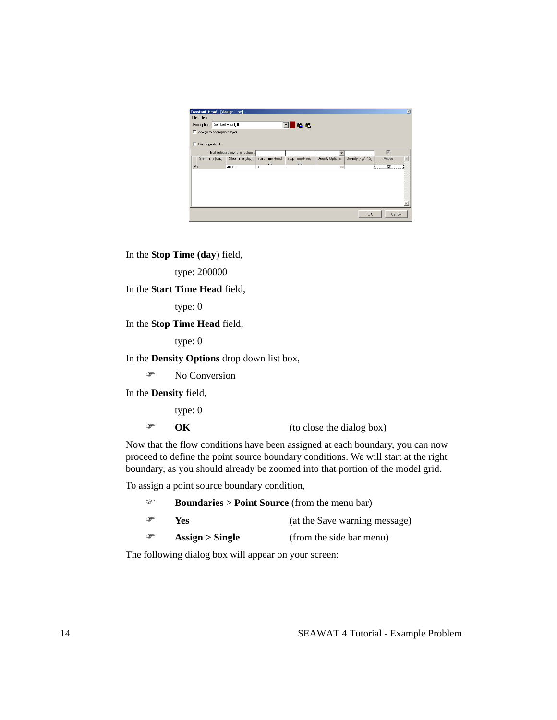| Constant-Head - [Assign Line]<br>File Help |                                 |                        |                            |                 |                  |                         | 凶 |
|--------------------------------------------|---------------------------------|------------------------|----------------------------|-----------------|------------------|-------------------------|---|
| Description: Constant-Head(0)              |                                 |                        | <b>IGG</b><br>$\mathbf{r}$ |                 |                  |                         |   |
| Assign to appropriate layer                |                                 |                        |                            |                 |                  |                         |   |
| Linear gradient<br>г                       |                                 |                        |                            |                 |                  |                         |   |
|                                            | Edit selected row(s) or column: |                        |                            |                 |                  | $\overline{\vee}$       |   |
| Start Time [day]                           | Stop Time [day]                 | Start Time Head<br>[m] | Stop Time Head<br>[m]      | Density Options | Density [kg/m^3] | Active                  |   |
| $\sqrt{0}$                                 | 400000                          | 0                      | 0                          | $\bullet$       |                  | $\overline{\mathbf{v}}$ |   |
|                                            |                                 |                        |                            |                 |                  |                         |   |
|                                            |                                 |                        |                            |                 |                  |                         |   |
|                                            |                                 |                        |                            |                 | <b>OK</b>        | Cancel                  |   |

In the **Stop Time (day**) field,

type: 200000

#### In the **Start Time Head** field,

type: 0

### In the **Stop Time Head** field,

type: 0

In the **Density Options** drop down list box,

<sup>T</sup> No Conversion

In the **Density** field,

type: 0

) **OK** (to close the dialog box)

Now that the flow conditions have been assigned at each boundary, you can now proceed to define the point source boundary conditions. We will start at the right boundary, as you should already be zoomed into that portion of the model grid.

To assign a point source boundary condition,

| ☞ | <b>Boundaries &gt; Point Source</b> (from the menu bar) |                               |  |  |
|---|---------------------------------------------------------|-------------------------------|--|--|
| ☞ | Yes.                                                    | (at the Save warning message) |  |  |
| ☞ | $\text{Assign} > \text{Single}$                         | (from the side bar menu)      |  |  |

The following dialog box will appear on your screen: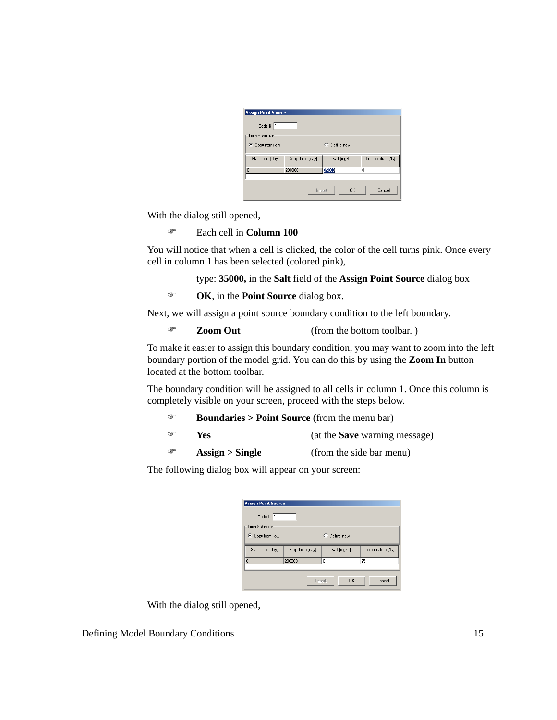| <b>Assign Point Source</b><br>Code #: 1        |                                  |              |                  |  |  |  |  |
|------------------------------------------------|----------------------------------|--------------|------------------|--|--|--|--|
| Time Schedule <sup>®</sup><br>C Copy from flow |                                  | C Define new |                  |  |  |  |  |
| Start Time [day]                               | Stop Time [day]                  | Salt [mg/L]  | Temperature [°C] |  |  |  |  |
|                                                | 35000<br>200000<br>$\Omega$<br>0 |              |                  |  |  |  |  |
|                                                |                                  |              |                  |  |  |  |  |

With the dialog still opened,

) Each cell in **Column 100**

You will notice that when a cell is clicked, the color of the cell turns pink. Once every cell in column 1 has been selected (colored pink),

type: **35000,** in the **Salt** field of the **Assign Point Source** dialog box

) **OK**, in the **Point Source** dialog box.

Next, we will assign a point source boundary condition to the left boundary.

```
) Zoom Out (from the bottom toolbar. )
```
To make it easier to assign this boundary condition, you may want to zoom into the left boundary portion of the model grid. You can do this by using the **Zoom In** button located at the bottom toolbar.

The boundary condition will be assigned to all cells in column 1. Once this column is completely visible on your screen, proceed with the steps below.

| ☞ | <b>Boundaries &gt; Point Source</b> (from the menu bar) |                                      |  |
|---|---------------------------------------------------------|--------------------------------------|--|
| ☞ | Yes                                                     | (at the <b>Save</b> warning message) |  |

) **Assign > Single** (from the side bar menu)

The following dialog box will appear on your screen:

|                 | C Define new               |                  |
|-----------------|----------------------------|------------------|
| Stop Time [day] | Salt [mg/L]                | Temperature [°C] |
| 200000          | 0                          | 25               |
|                 |                            |                  |
|                 |                            |                  |
|                 | <b>Assign Point Source</b> |                  |

With the dialog still opened,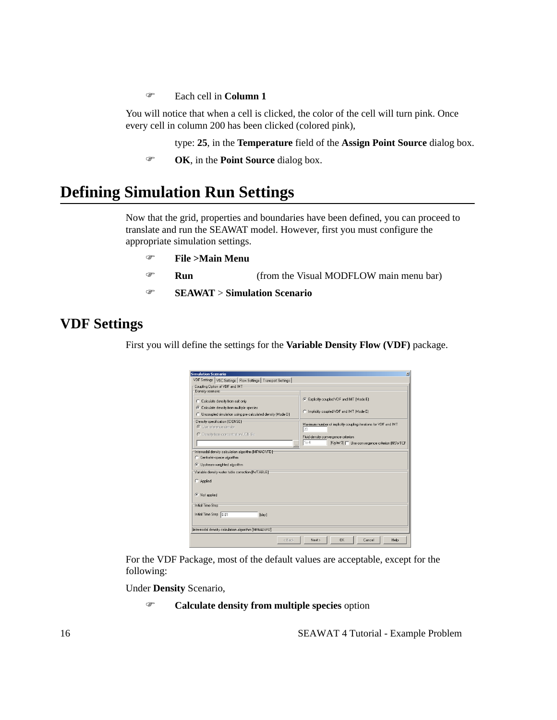) Each cell in **Column 1**

You will notice that when a cell is clicked, the color of the cell will turn pink. Once every cell in column 200 has been clicked (colored pink),

type: **25**, in the **Temperature** field of the **Assign Point Source** dialog box.

) **OK**, in the **Point Source** dialog box.

# **Defining Simulation Run Settings**

Now that the grid, properties and boundaries have been defined, you can proceed to translate and run the SEAWAT model. However, first you must configure the appropriate simulation settings.

- ) **File >Main Menu**
- ) **Run** (from the Visual MODFLOW main menu bar)
- ) **SEAWAT** > **Simulation Scenario**

## **VDF Settings**

First you will define the settings for the **Variable Density Flow (VDF)** package.

| C Calculate density from salt only<br>C Calculate density from multiple species<br>C Uncoupled simulation using pre-calculated density (Mode D)                                                                                                    | Explicitly coupled VDF and IMT (Mode E)<br>C Implicitly coupled VDF and IMT (Mode E)                                  |  |  |  |
|----------------------------------------------------------------------------------------------------------------------------------------------------------------------------------------------------------------------------------------------------|-----------------------------------------------------------------------------------------------------------------------|--|--|--|
| Density specification (IDENSE):<br>C Use reference density<br>C Density from concentration UCN file                                                                                                                                                | Maximum number of implicitly coupling iterations for VDF and IMT<br>20<br>Fluid density convergence criterion<br>1e-4 |  |  |  |
| [Kg/m <sup>x</sup> 3]   Use convergence criterion [NSWTCF<br>$\cdots$<br>Internodal density calculation algorithm [MFNADVFD]<br>C Central-in-space algorithm<br>C Upstream-weighted algorithm<br>Variable density water table correction [IWTABLE] |                                                                                                                       |  |  |  |
| C Applied                                                                                                                                                                                                                                          |                                                                                                                       |  |  |  |
| C Not applied                                                                                                                                                                                                                                      |                                                                                                                       |  |  |  |

For the VDF Package, most of the default values are acceptable, except for the following:

Under **Density** Scenario,

) **Calculate density from multiple species** option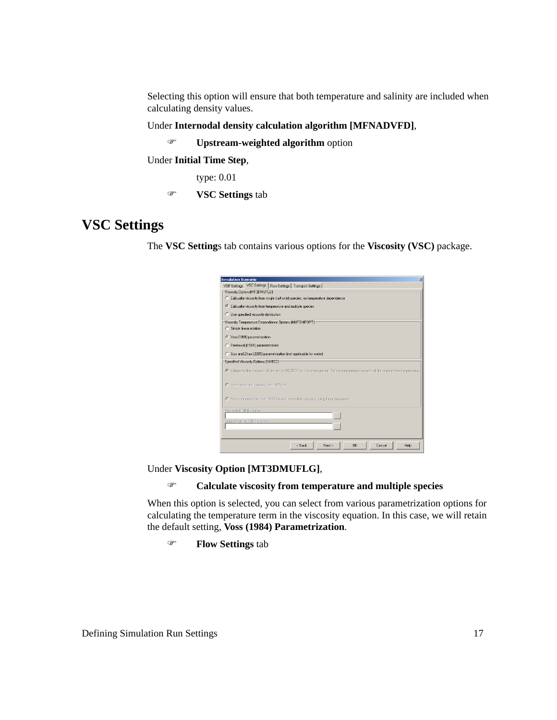Selecting this option will ensure that both temperature and salinity are included when calculating density values.

Under **Internodal density calculation algorithm [MFNADVFD]**,

) **Upstream-weighted algorithm** option

Under **Initial Time Step**,

type: 0.01

) **VSC Settings** tab

### **VSC Settings**

The **VSC Setting**s tab contains various options for the **Viscosity (VSC)** package.

| <b>Simulation Scenario</b><br>$\vert x \vert$                                                                                             |
|-------------------------------------------------------------------------------------------------------------------------------------------|
| VDF Settings VSC Settings   Flow Settings   Transport Settings                                                                            |
| Viscosity Options[MT3DMUFLG]                                                                                                              |
| C Calcualte viscosity from single (salt only) species, no temperature dependence                                                          |
| C Calcualte viscosity from temperature and multiple species                                                                               |
| C Use specified viscosity distribution                                                                                                    |
| Viscosity Temperature Dependence Options [MUTEMPOPT]:                                                                                     |
| C Simple linear relation                                                                                                                  |
| C Voss[1984] parametrization                                                                                                              |
| C Pawlowski[1991] parametrization                                                                                                         |
| C Guo and Zhao (2005) parametrization (not applicable for water)                                                                          |
| Specified Viscosity Options (INVISC)                                                                                                      |
| C Values for the viscosity will be set to VISCREF for 1-st stress period. For the next period viscosity will be reused from the previous. |
| C Read specified viscosity from UCN file                                                                                                  |
| C Read concentration from UCN file and convert to viscosity using linear expression                                                       |
| Viscosity UEN file name                                                                                                                   |
| Concentration UCN file name.                                                                                                              |
|                                                                                                                                           |
|                                                                                                                                           |
|                                                                                                                                           |
| < Back<br>QK<br>Next ><br>Cancel<br>Help                                                                                                  |

Under **Viscosity Option [MT3DMUFLG]**,

### ) **Calculate viscosity from temperature and multiple species**

When this option is selected, you can select from various parametrization options for calculating the temperature term in the viscosity equation. In this case, we will retain the default setting, **Voss (1984) Parametrization**.

) **Flow Settings** tab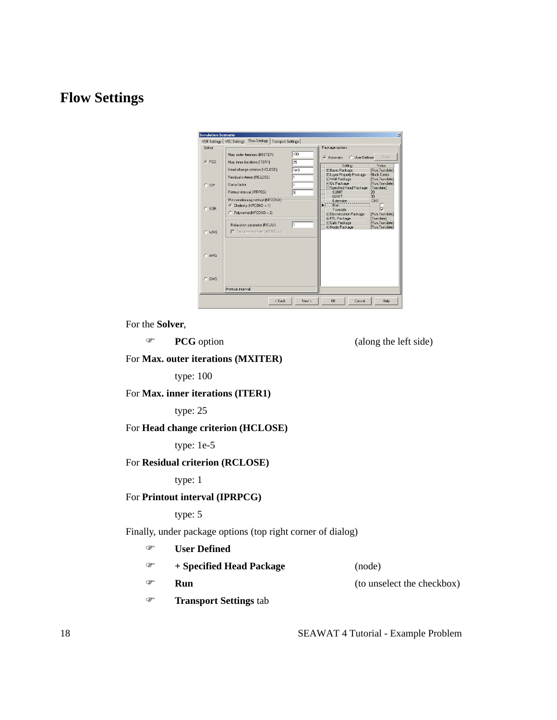## **Flow Settings**

|         | Flow Settings<br>VDF Settings   VSC Settings<br>Transport Settings                        |                                                                                                                    |                                                                            |
|---------|-------------------------------------------------------------------------------------------|--------------------------------------------------------------------------------------------------------------------|----------------------------------------------------------------------------|
| Solver  | Max. outer iterations [MXITER]                                                            | Package options<br>100<br>C User Defined<br>C Automatic                                                            | Beset                                                                      |
| $G$ PCG | 25<br>Max. inner iterations (ITER1)<br>Head change criterion (HCLOSE)                     | Setting<br>$1e-5$<br><b>FFI Basic Package</b><br>E Layer Property Package                                          | Value<br>[Run,Translate]<br><b>Block Cente</b>                             |
| $C$ SIP | Residual criterion (RCLOSE)<br>Damp factor<br>同<br>Printout interval (IPRPCG)             | <b>ET Well Package</b><br><b>El Oc Package</b><br><b>□ Specified Head Package</b><br><b>CUNIT</b><br><b>I INIT</b> | [Run.Translate]<br>[Run,Translate]<br>[Translate]<br>20<br>30 <sub>1</sub> |
| $C$ SOB | Pre-conditioning method (NPCOND):<br>C Cholesky (NPCOND = 1)<br>C Polynomial (NPCOND = 2) | Extension<br><b>Bun</b><br>Translate<br>Fi Discretization Package<br>E FTL Package                                 | .CHD<br>[Run.Translate]<br>[Translate]                                     |
| C WHS   | Relaxation parameter (RELAX)<br>$\Box$ Calculate estimate (NPBOL = 1)                     | <b>FT Calb Package</b><br><b>Fil Nodry Package</b>                                                                 | [Run.Translate]<br>[Run,Translate]                                         |
| $C$ AMG |                                                                                           |                                                                                                                    |                                                                            |
| $C$ GMG | Printnut interval                                                                         |                                                                                                                    |                                                                            |

For the **Solver**,

) **PCG** option (along the left side)

For **Max. outer iterations (MXITER)**

type: 100

For **Max. inner iterations (ITER1)**

type: 25

### For **Head change criterion (HCLOSE)**

type: 1e-5

### For **Residual criterion (RCLOSE)**

type: 1

### For **Printout interval (IPRPCG)**

type: 5

Finally, under package options (top right corner of dialog)

| œ | <b>User Defined</b>           |                            |
|---|-------------------------------|----------------------------|
| œ | + Specified Head Package      | (node)                     |
| œ | Run                           | (to unselect the checkbox) |
| œ | <b>Transport Settings tab</b> |                            |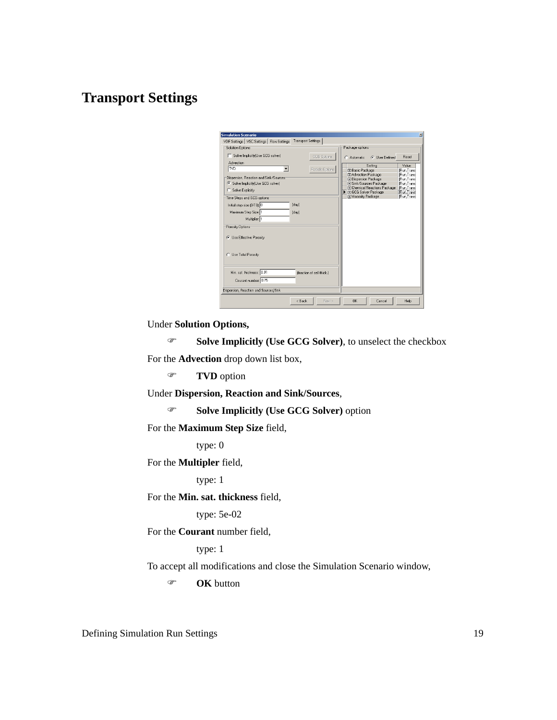### **Transport Settings**

| <b>Simulation Scenario</b>                                                                       |                           |        |                                                                                                                          | $\times$                                              |
|--------------------------------------------------------------------------------------------------|---------------------------|--------|--------------------------------------------------------------------------------------------------------------------------|-------------------------------------------------------|
| VDF Settings   VSC Settings   Flow Settings                                                      | <b>Transport Settings</b> |        |                                                                                                                          |                                                       |
| Solution Options                                                                                 |                           |        | Package options                                                                                                          |                                                       |
| Solve Implicitly[Use GCG solver]<br>┍<br><b>Advection</b>                                        | GCG Options               |        | G User Defined<br>C. Automatic                                                                                           | Reset                                                 |
| <b>TVD</b><br>▼∣                                                                                 | Particle Options          |        | Setting<br><b>FI Basic Package</b><br><b>FI Advection Package</b>                                                        | Value<br>IRun.Trans<br>IRun.Trans                     |
| Dispersion, Reaction and Sink/Sources:<br>6 Solve Implicitly(Use GCG solver)<br>Solve Explicitly |                           |        | <b>El Dispersion Package</b><br>Fi Sink/Sources Package<br>FI Chemical Reactions Package<br><b>El GCG Solver Package</b> | [Run.Trans<br>[Run,Trans<br>[Run,Trans<br>FRun, Trang |
| Time Steps and GCG options:<br>Initial step size (DT0): 0                                        | [day]                     |        | <b>FI Viscosity Package</b>                                                                                              | IRun.Trans                                            |
| Maximum Step Size: 1<br>Multiplier: 1                                                            | [day]                     |        |                                                                                                                          |                                                       |
| Porosity Options:<br>C Use Effective Porosity                                                    |                           |        |                                                                                                                          |                                                       |
| C Use Total Porosity                                                                             |                           |        |                                                                                                                          |                                                       |
| Min. sat. thickness: 0.01<br>Courant number: 0.75<br>Dispersion, Reaction and Sources/Sink       | (fraction of cell thick.) |        |                                                                                                                          |                                                       |
|                                                                                                  |                           |        |                                                                                                                          |                                                       |
|                                                                                                  | < Back                    | Next > | <b>OK</b><br>Cancel                                                                                                      | Help                                                  |

Under **Solution Options,** 

) **Solve Implicitly (Use GCG Solver)**, to unselect the checkbox For the **Advection** drop down list box,

) **TVD** option

Under **Dispersion, Reaction and Sink/Sources**,

) **Solve Implicitly (Use GCG Solver)** option

For the **Maximum Step Size** field,

type: 0

For the **Multipler** field,

type: 1

For the **Min. sat. thickness** field,

type: 5e-02

For the **Courant** number field,

type: 1

To accept all modifications and close the Simulation Scenario window,

) **OK** button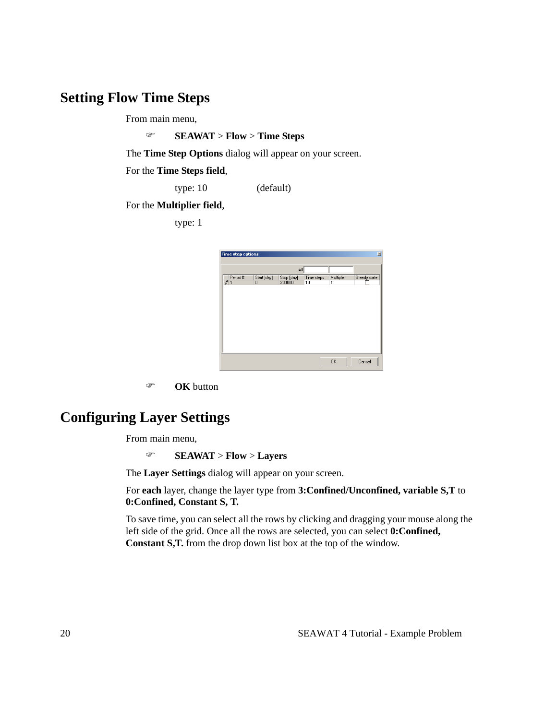### **Setting Flow Time Steps**

From main menu,

) **SEAWAT** > **Flow** > **Time Steps**

The **Time Step Options** dialog will appear on your screen.

For the **Time Steps field**,

type: 10 (default)

For the **Multiplier field**,

type: 1

| <b>Time step options</b> |                  |                      |                  |                 | $\overline{\mathbb{X}}$ |
|--------------------------|------------------|----------------------|------------------|-----------------|-------------------------|
|                          |                  | Αll                  |                  |                 |                         |
| Period #<br>$\sqrt{1}$   | Start [day]<br>0 | Stop [day]<br>200000 | Time steps<br>10 | Multiplier<br>1 | Steady state            |
|                          |                  |                      |                  |                 |                         |
|                          |                  |                      |                  |                 |                         |
|                          |                  |                      |                  |                 |                         |
|                          |                  |                      |                  |                 |                         |
|                          |                  |                      |                  |                 |                         |
|                          |                  |                      |                  |                 |                         |
|                          |                  |                      |                  |                 |                         |
|                          |                  |                      |                  | OK              | Cancel                  |

) **OK** button

# **Configuring Layer Settings**

From main menu,

### ) **SEAWAT** > **Flow** > **Layers**

The **Layer Settings** dialog will appear on your screen.

For **each** layer, change the layer type from **3:Confined/Unconfined, variable S,T** to **0:Confined, Constant S, T.**

To save time, you can select all the rows by clicking and dragging your mouse along the left side of the grid. Once all the rows are selected, you can select **0:Confined, Constant S,T.** from the drop down list box at the top of the window.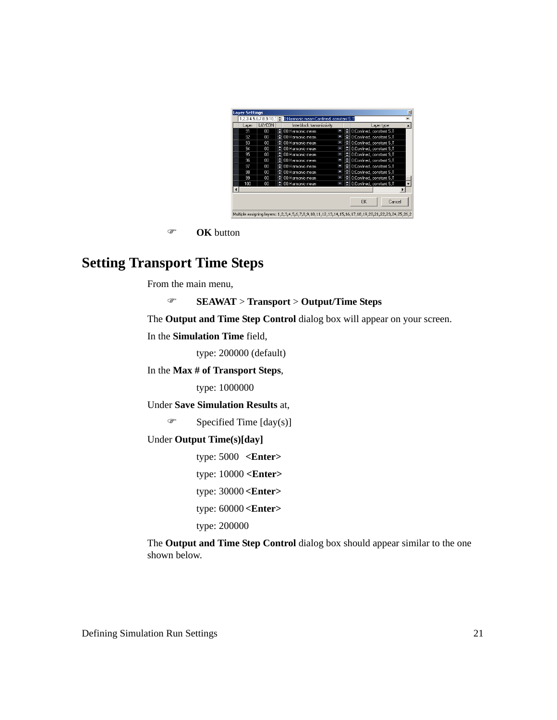|       |        | 1,2,3,4,5,6,7,8,9,10,1 - 0:Harmonic mean-Confined, constant S,T |   |   |                              |  |
|-------|--------|-----------------------------------------------------------------|---|---|------------------------------|--|
| Layer | LAYCON | Interblock transmissivity                                       |   |   | Layer type                   |  |
| 91    | 00     | ≑ 00:Harmonic mean                                              | Ξ | ⇔ | 0:Confined, constant S,T     |  |
| 92    | 00     | ≑ 00:Harmonic mean                                              | Ξ |   | C O:Confined, constant S,T   |  |
| 93    | 00     | ≑ 00:Harmonic mean                                              | Þ |   | ≑ O:Confined, constant S.T   |  |
| 94    | 00     | ≑ 00:Harmonic mean                                              | Ξ |   | ≑ OrConfined, constant S.T   |  |
| 95    | OO.    | ≑ 00:Harmonic mean                                              | Ξ |   | ♦ O Confined, constant S.T   |  |
| 96    | OO.    | ≑ 00:Harmonic mean                                              | × |   | ≑∣ 0:Confined, constant S.T  |  |
| 97    | 00     | ≑ 00:Harmonic mean                                              | Ξ |   | 후 I O:Confined, constant S.T |  |
| 98    | 00     | ≑ 00:Harmonic mean                                              | Σ | н | D:Confined, constant S.T     |  |
| 99    | 00     | ≑ 00:Harmonic mean                                              | Þ | ÷ | D:Confined, constant S.T     |  |
| 100   | 00     | ≑ 00:Harmonic mean                                              | Ξ |   | ≑ O:Confined, constant S,T   |  |
|       |        |                                                                 |   |   |                              |  |
|       |        |                                                                 |   |   |                              |  |
|       |        |                                                                 |   |   | <b>DK</b><br>Cancel          |  |
|       |        |                                                                 |   |   |                              |  |

) **OK** button

## **Setting Transport Time Steps**

From the main menu,

#### ) **SEAWAT** > **Transport** > **Output/Time Steps**

The **Output and Time Step Control** dialog box will appear on your screen.

In the **Simulation Time** field,

type: 200000 (default)

#### In the **Max # of Transport Steps**,

type: 1000000

#### Under **Save Simulation Results** at,

 $\mathcal{F}$  Specified Time [day(s)]

#### Under **Output Time(s)[day]**

type: 5000 **<Enter>**

type: 10000 **<Enter>**

type: 30000 **<Enter>**

type: 60000 **<Enter>**

type: 200000

The **Output and Time Step Control** dialog box should appear similar to the one shown below.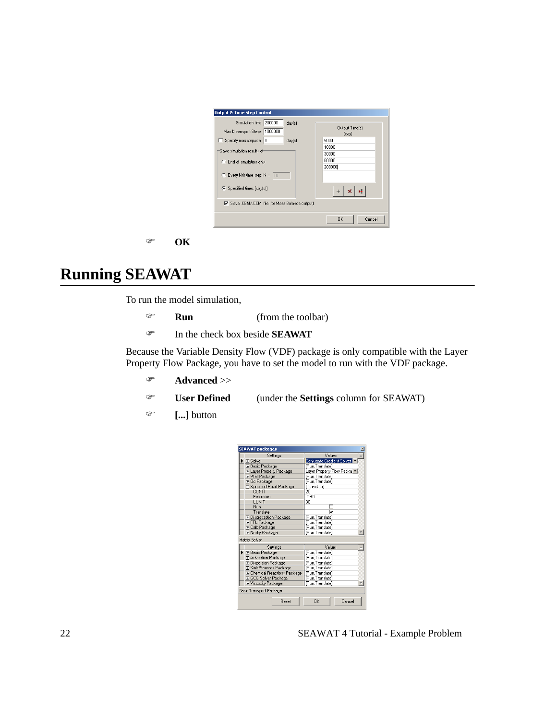

#### ) **OK**

# **Running SEAWAT**

To run the model simulation,

- ) **Run** (from the toolbar)
- ) In the check box beside **SEAWAT**

Because the Variable Density Flow (VDF) package is only compatible with the Layer Property Flow Package, you have to set the model to run with the VDF package.

- ) **Advanced** >>
- ) **User Defined** (under the **Settings** column for SEAWAT)
- ) **[...]** button

| <b>SEAWAT packages</b> |                                 |                           |  |  |  |  |
|------------------------|---------------------------------|---------------------------|--|--|--|--|
|                        | Settinas                        | Values                    |  |  |  |  |
| ١                      | 田 Solver                        | Conjugate Gradient Solver |  |  |  |  |
|                        | 田 Basic Package                 | [Run,Translate]           |  |  |  |  |
|                        | El Layer Property Package       | Layer Property Flow Packa |  |  |  |  |
|                        | 田 Well Package                  | [Run,Translate]           |  |  |  |  |
|                        | 国 Oc Package                    | [Run,Translate]           |  |  |  |  |
|                        | □ Specified Head Package        | [Translate]               |  |  |  |  |
|                        | CHNIT                           | 20                        |  |  |  |  |
|                        | Extension                       | CHD                       |  |  |  |  |
|                        | LUNIT                           | 30                        |  |  |  |  |
|                        | <b>Bun</b>                      |                           |  |  |  |  |
|                        | Translate                       | ⊽                         |  |  |  |  |
|                        | <b>E Discretization Package</b> | [Run,Translate]           |  |  |  |  |
|                        | 田 FTL Package                   | [Run,Translate]           |  |  |  |  |
|                        | 田 Calb Package                  | [Run, Translate]          |  |  |  |  |
|                        | 田 Nodry Package                 | [Run, Translate]          |  |  |  |  |
| Matrix Solver          |                                 |                           |  |  |  |  |
|                        | Settings                        | Values<br>A               |  |  |  |  |
|                        | 田 Basic Package                 | [Run,Translate]           |  |  |  |  |
|                        | El Advection Package            | [Run,Translate]           |  |  |  |  |
|                        | <b>El Dispersion Package</b>    | [Run,Translate]           |  |  |  |  |
|                        | 田 Sink/Sources Package          | [Run,Translate]           |  |  |  |  |
|                        | El Chemical Reactions Package   | [Run,Translate]           |  |  |  |  |
|                        | El GCG Solver Package           | [Run,Translate]           |  |  |  |  |
|                        | El Viscosity Package            | [Run,Translate]           |  |  |  |  |
|                        | Basic Transport Package         |                           |  |  |  |  |
|                        | <b>Beset</b>                    | OK<br>Cancel              |  |  |  |  |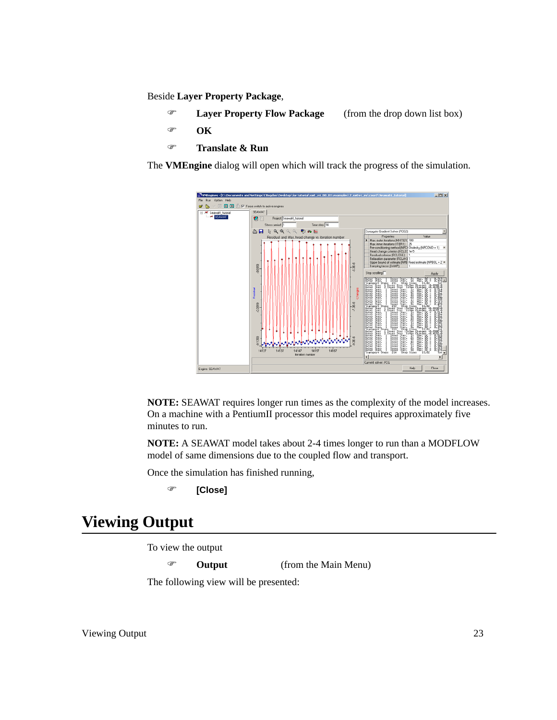Beside **Layer Property Package**,

- ) **Layer Property Flow Package** (from the drop down list box)
- ) **OK**
- ) **Translate & Run**

The **VMEngine** dialog will open which will track the progress of the simulation.



**NOTE:** SEAWAT requires longer run times as the complexity of the model increases. On a machine with a PentiumII processor this model requires approximately five minutes to run.

**NOTE:** A SEAWAT model takes about 2-4 times longer to run than a MODFLOW model of same dimensions due to the coupled flow and transport.

Once the simulation has finished running,

```
) [Close]
```
# **Viewing Output**

To view the output

) **Output** (from the Main Menu)

The following view will be presented: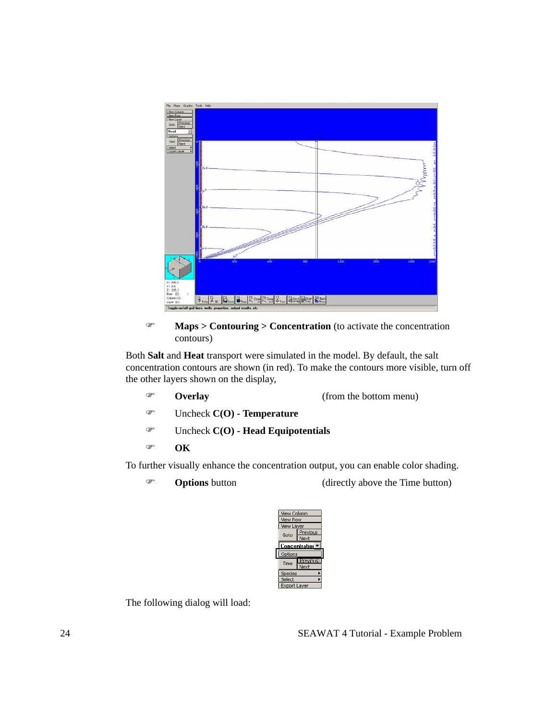

#### ) **Maps > Contouring > Concentration** (to activate the concentration contours)

Both **Salt** and **Heat** transport were simulated in the model. By default, the salt concentration contours are shown (in red). To make the contours more visible, turn off the other layers shown on the display,

- ) **Overlay** (from the bottom menu)
- ) Uncheck **C(O) Temperature**
- ) Uncheck **C(O) Head Equipotentials**
- ) **OK**

To further visually enhance the concentration output, you can enable color shading.

- 
- **The Countries Coptions** button (directly above the Time button)



The following dialog will load: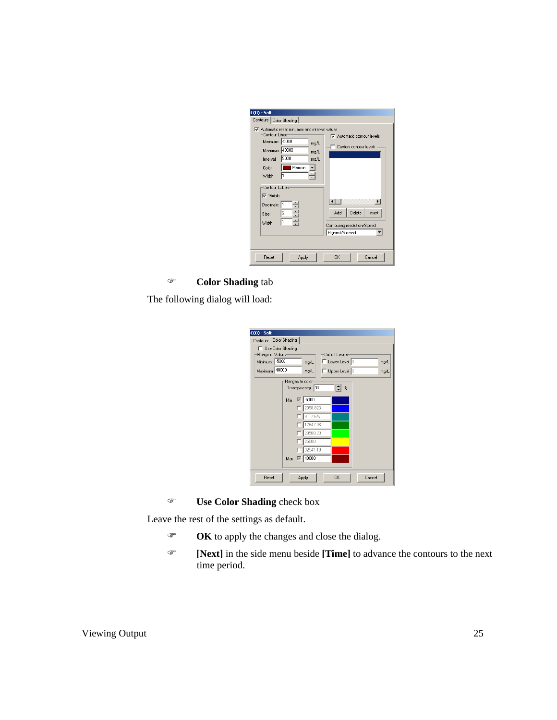|--|

### ) **Color Shading** tab

The following dialog will load:

| $C(0)$ - Salt          |                                                                                                                                                                         |  |  |  |  |
|------------------------|-------------------------------------------------------------------------------------------------------------------------------------------------------------------------|--|--|--|--|
| Contours Color Shading |                                                                                                                                                                         |  |  |  |  |
|                        | Use Color Shading<br>Range of Values<br>Cut off Levels<br>Minimum: 5000<br>$\Box$ Lower Level $\Box$<br>mg/L<br>mg/L<br>Maximum: 40000<br>Upper Level 0<br>mg/L<br>mg/L |  |  |  |  |
|                        | Ranges to color<br>Transparency: 30<br>$\frac{2}{4}$                                                                                                                    |  |  |  |  |
|                        | $\nabla$ -5000<br>Min.                                                                                                                                                  |  |  |  |  |
|                        | 2058.823<br>9117.647                                                                                                                                                    |  |  |  |  |
|                        | 12647.06<br>20588.23                                                                                                                                                    |  |  |  |  |
|                        | 25000                                                                                                                                                                   |  |  |  |  |
|                        | 32941.18<br>Max   140000                                                                                                                                                |  |  |  |  |
|                        |                                                                                                                                                                         |  |  |  |  |
| Reset                  | <b>OK</b><br>Cancel<br>Apply                                                                                                                                            |  |  |  |  |

) **Use Color Shading** check box

Leave the rest of the settings as default.

- ) **OK** to apply the changes and close the dialog.
- ) **[Next]** in the side menu beside **[Time]** to advance the contours to the next time period.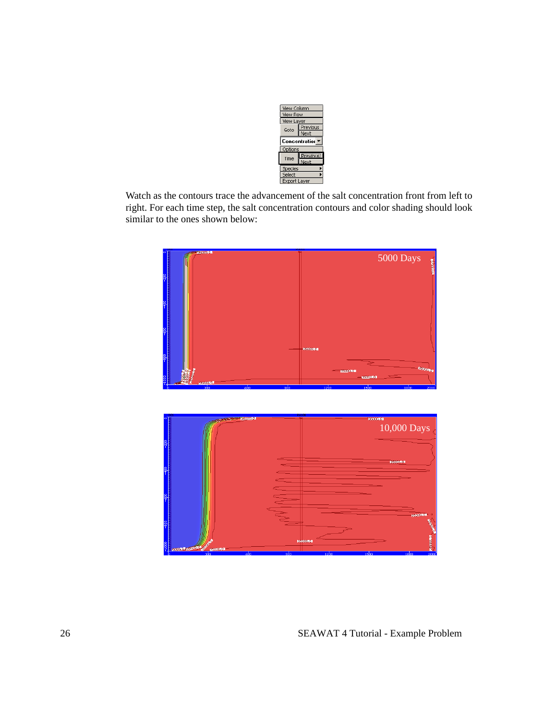

Watch as the contours trace the advancement of the salt concentration front from left to right. For each time step, the salt concentration contours and color shading should look similar to the ones shown below:

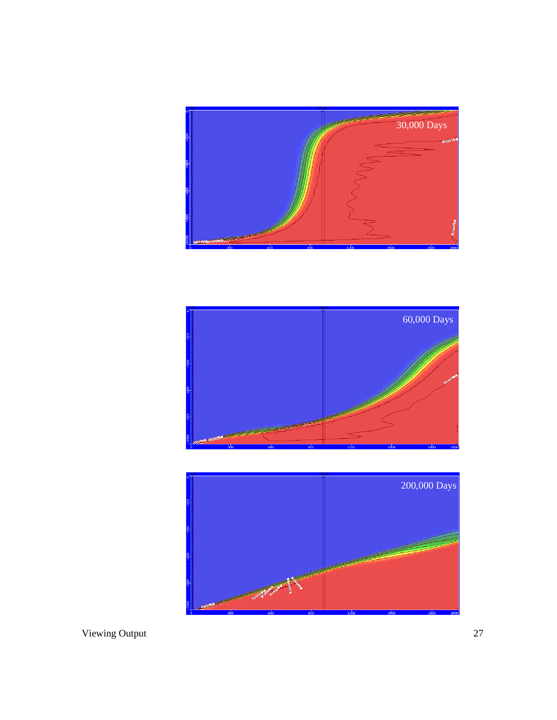



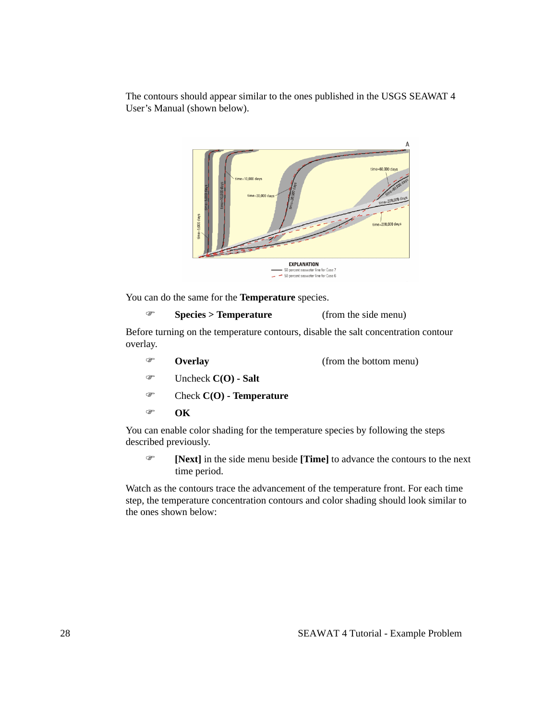The contours should appear similar to the ones published in the USGS SEAWAT 4 User's Manual (shown below).



You can do the same for the **Temperature** species.

```
) Species > Temperature (from the side menu)
```
Before turning on the temperature contours, disable the salt concentration contour overlay.

- ) **Overlay** (from the bottom menu)
- ) Uncheck **C(O) Salt**
- ) Check **C(O) Temperature**
- ) **OK**

You can enable color shading for the temperature species by following the steps described previously.

) **[Next]** in the side menu beside **[Time]** to advance the contours to the next time period.

Watch as the contours trace the advancement of the temperature front. For each time step, the temperature concentration contours and color shading should look similar to the ones shown below: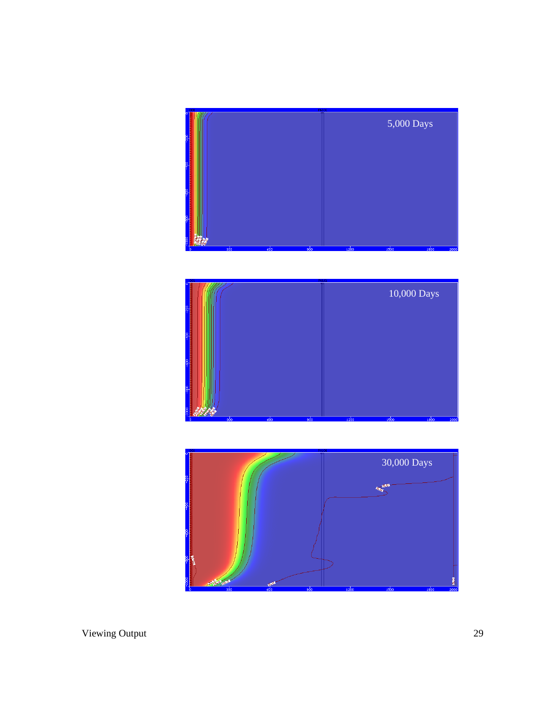



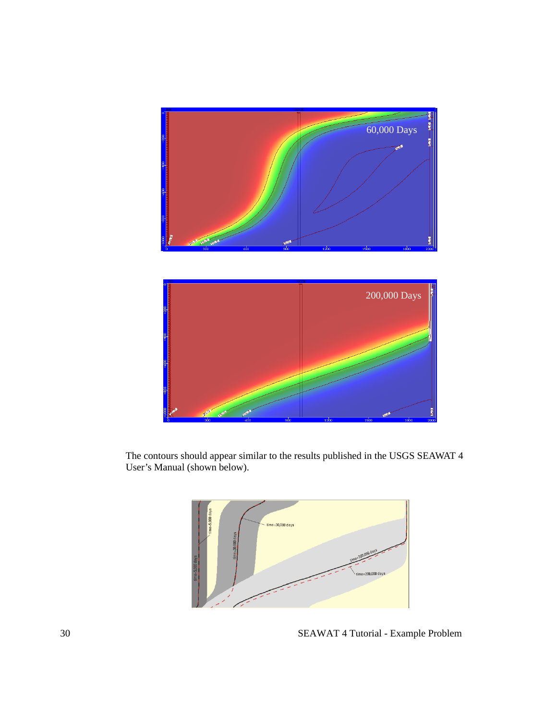



The contours should appear similar to the results published in the USGS SEAWAT 4 User's Manual (shown below).